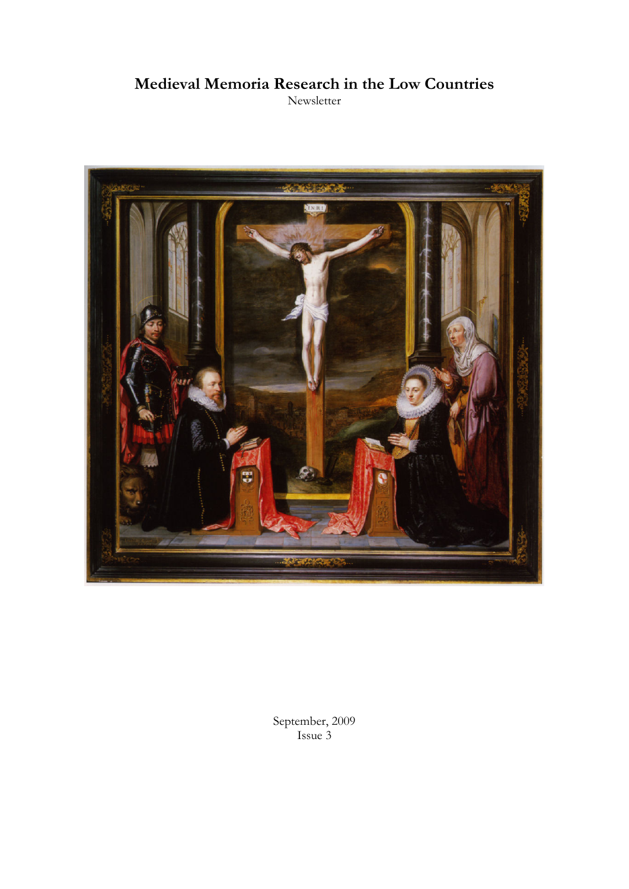# **Medieval Memoria Research in the Low Countries**

Newsletter



September, 2009 Issue 3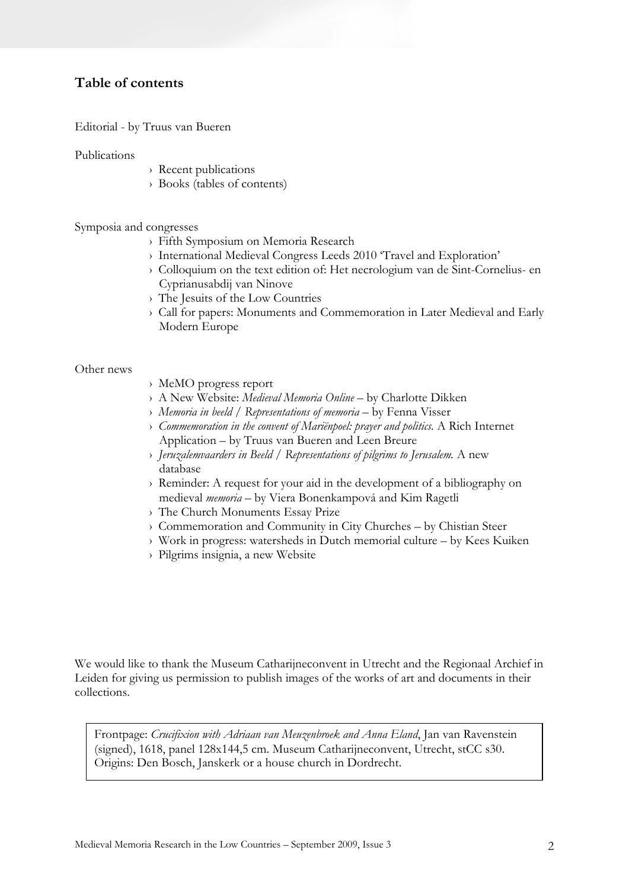## **Table of contents**

Editorial - by Truus van Bueren

Publications

- › Recent publications
- › Books (tables of contents)

Symposia and congresses

- › Fifth Symposium on Memoria Research
- › International Medieval Congress Leeds 2010 'Travel and Exploration'
- › Colloquium on the text edition of: Het necrologium van de Sint-Cornelius- en Cyprianusabdij van Ninove
- › The Jesuits of the Low Countries
- › Call for papers: Monuments and Commemoration in Later Medieval and Early Modern Europe

#### Other news

- › MeMO progress report
- › A New Website: *Medieval Memoria Online* by Charlotte Dikken
- › *Memoria in beeld / Representations of memoria* by Fenna Visser
- › *Commemoration in the convent of Mariënpoel: prayer and politics.* A Rich Internet Application – by Truus van Bueren and Leen Breure
- › *Jeruzalemvaarders in Beeld / Representations of pilgrims to Jerusalem.* A new database
- › Reminder: A request for your aid in the development of a bibliography on medieval *memoria* – by Viera Bonenkampová and Kim Ragetli
- › The Church Monuments Essay Prize
- › Commemoration and Community in City Churches by Chistian Steer
- › Work in progress: watersheds in Dutch memorial culture by Kees Kuiken
- › Pilgrims insignia, a new Website

We would like to thank the Museum Catharijneconvent in Utrecht and the Regionaal Archief in Leiden for giving us permission to publish images of the works of art and documents in their collections.

Frontpage: *Crucifixion with Adriaan van Meuzenbroek and Anna Eland*, Jan van Ravenstein (signed), 1618, panel 128x144,5 cm. Museum Catharijneconvent, Utrecht, stCC s30. Origins: Den Bosch, Janskerk or a house church in Dordrecht.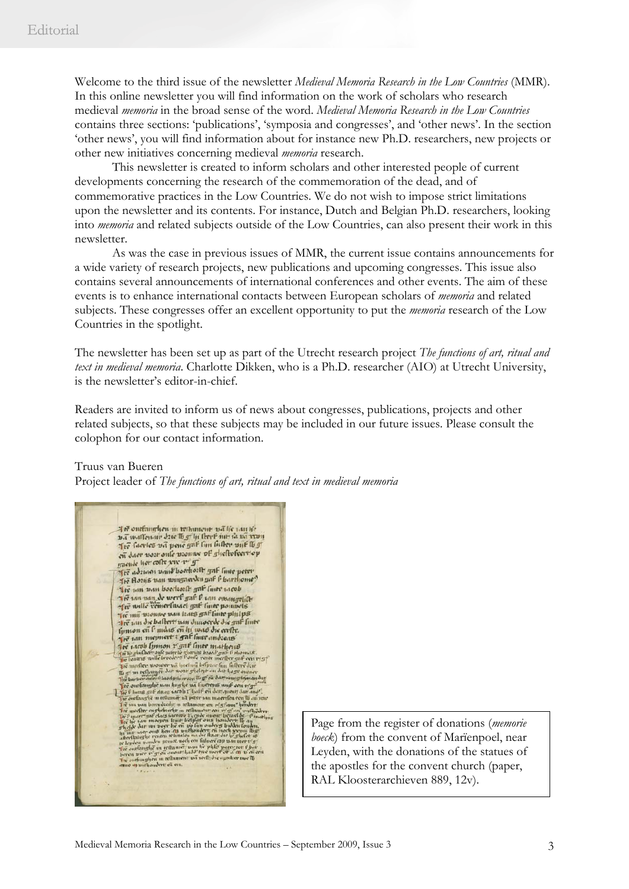Welcome to the third issue of the newsletter *Medieval Memoria Research in the Low Countries* (MMR). In this online newsletter you will find information on the work of scholars who research medieval *memoria* in the broad sense of the word. *Medieval Memoria Research in the Low Countries* contains three sections: 'publications', 'symposia and congresses', and 'other news'. In the section 'other news', you will find information about for instance new Ph.D. researchers, new projects or other new initiatives concerning medieval *memoria* research.

This newsletter is created to inform scholars and other interested people of current developments concerning the research of the commemoration of the dead, and of commemorative practices in the Low Countries. We do not wish to impose strict limitations upon the newsletter and its contents. For instance, Dutch and Belgian Ph.D. researchers, looking into *memoria* and related subjects outside of the Low Countries, can also present their work in this newsletter.

As was the case in previous issues of MMR, the current issue contains announcements for a wide variety of research projects, new publications and upcoming congresses. This issue also contains several announcements of international conferences and other events. The aim of these events is to enhance international contacts between European scholars of *memoria* and related subjects. These congresses offer an excellent opportunity to put the *memoria* research of the Low Countries in the spotlight.

The newsletter has been set up as part of the Utrecht research project *The functions of art, ritual and text in medieval memoria*. Charlotte Dikken, who is a Ph.D. researcher (AIO) at Utrecht University, is the newsletter's editor-in-chief.

Readers are invited to inform us of news about congresses, publications, projects and other related subjects, so that these subjects may be included in our future issues. Please consult the colophon for our contact information.

#### Truus van Bueren

Project leader of *The functions of art, ritual and text in medieval memoria* 

21 to outfairehous in restaurant not lie van to ba wallenair dzie lb gr hi llevel nie sa na van en daer vort onle vrouwe of glieftofeertop mende her colle viv 1 9 The adriant vand boothorth gaf linte poten The Horn's van wingnerden gaf f harrhome? The tan nan boechosth gaf linte tacob Are tan pan boertozie gar ture iarop<br>Are tan van de werf gar l' tan ewangelik<br>Are wille concributel gar liner pouwels ter mit vrouwe van kans gaf linte philps The main state of the state of the particle of the particle of the particle of the main state of the main state of the main state. And the state of the control of the control of the state of the state of the state of the the um die ballert um dunocrde die guf finte

Page from the register of donations (*memorie boeck*) from the convent of Marïenpoel, near Leyden, with the donations of the statues of the apostles for the convent church (paper, RAL Kloosterarchieven 889, 12v).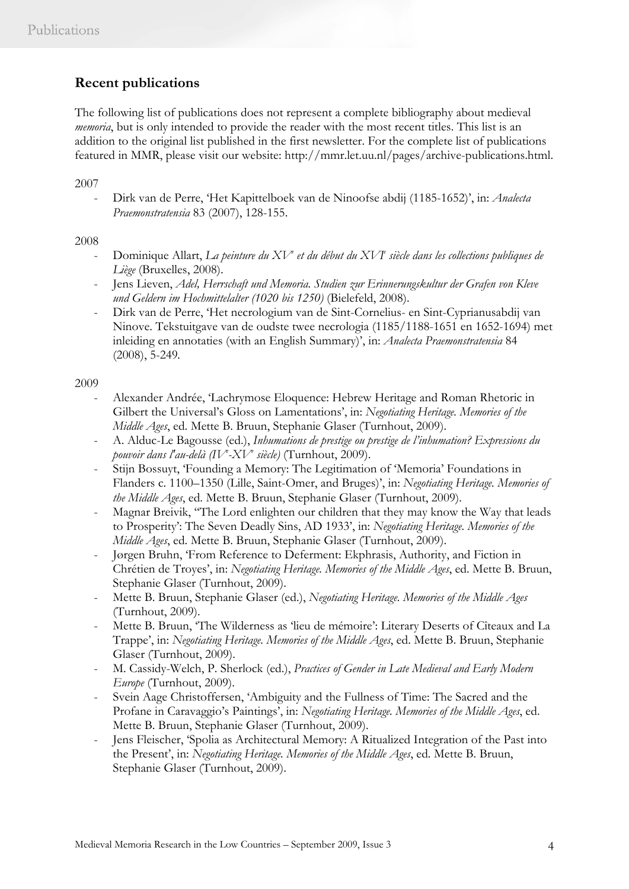# **Recent publications**

The following list of publications does not represent a complete bibliography about medieval *memoria*, but is only intended to provide the reader with the most recent titles. This list is an addition to the original list published in the first newsletter. For the complete list of publications featured in MMR, please visit our website: http://mmr.let.uu.nl/pages/archive-publications.html.

2007

- Dirk van de Perre, 'Het Kapittelboek van de Ninoofse abdij (1185-1652)', in: *Analecta Praemonstratensia* 83 (2007), 128-155.

## 2008

- Dominique Allart, *La peinture du XV<sup>e</sup> et du début du XVI<sup>e</sup> siècle dans les collections publiques de Liège* (Bruxelles, 2008).
- Jens Lieven, *Adel, Herrschaft und Memoria. Studien zur Erinnerungskultur der Grafen von Kleve und Geldern im Hochmittelalter (1020 bis 1250)* (Bielefeld, 2008).
- Dirk van de Perre, 'Het necrologium van de Sint-Cornelius- en Sint-Cyprianusabdij van Ninove. Tekstuitgave van de oudste twee necrologia (1185/1188-1651 en 1652-1694) met inleiding en annotaties (with an English Summary)', in: *Analecta Praemonstratensia* 84 (2008), 5-249*.*

## 2009

- Alexander Andrée, 'Lachrymose Eloquence: Hebrew Heritage and Roman Rhetoric in Gilbert the Universal's Gloss on Lamentations', in: *Negotiating Heritage. Memories of the Middle Ages*, ed. Mette B. Bruun, Stephanie Glaser (Turnhout, 2009).
- A. Alduc-Le Bagousse (ed.), *Inhumations de prestige ou prestige de l'inhumation? Expressions du pouvoir dans l'au-delà (IVe -XVe siècle)* (Turnhout, 2009).
- Stijn Bossuyt, 'Founding a Memory: The Legitimation of 'Memoria' Foundations in Flanders c. 1100–1350 (Lille, Saint-Omer, and Bruges)', in: *Negotiating Heritage. Memories of the Middle Ages*, ed. Mette B. Bruun, Stephanie Glaser (Turnhout, 2009).
- Magnar Breivik, "The Lord enlighten our children that they may know the Way that leads to Prosperity': The Seven Deadly Sins, AD 1933', in: *Negotiating Heritage. Memories of the Middle Ages*, ed. Mette B. Bruun, Stephanie Glaser (Turnhout, 2009).
- Jørgen Bruhn, 'From Reference to Deferment: Ekphrasis, Authority, and Fiction in Chrétien de Troyes', in: *Negotiating Heritage. Memories of the Middle Ages*, ed. Mette B. Bruun, Stephanie Glaser (Turnhout, 2009).
- Mette B. Bruun, Stephanie Glaser (ed.), *Negotiating Heritage. Memories of the Middle Ages* (Turnhout, 2009).
- Mette B. Bruun, 'The Wilderness as 'lieu de mémoire': Literary Deserts of Cîteaux and La Trappe', in: *Negotiating Heritage. Memories of the Middle Ages*, ed. Mette B. Bruun, Stephanie Glaser (Turnhout, 2009).
- M. Cassidy-Welch, P. Sherlock (ed.), *Practices of Gender in Late Medieval and Early Modern Europe* (Turnhout, 2009).
- Svein Aage Christoffersen, 'Ambiguity and the Fullness of Time: The Sacred and the Profane in Caravaggio's Paintings', in: *Negotiating Heritage. Memories of the Middle Ages*, ed. Mette B. Bruun, Stephanie Glaser (Turnhout, 2009).
- Jens Fleischer, 'Spolia as Architectural Memory: A Ritualized Integration of the Past into the Present', in: *Negotiating Heritage. Memories of the Middle Ages*, ed. Mette B. Bruun, Stephanie Glaser (Turnhout, 2009).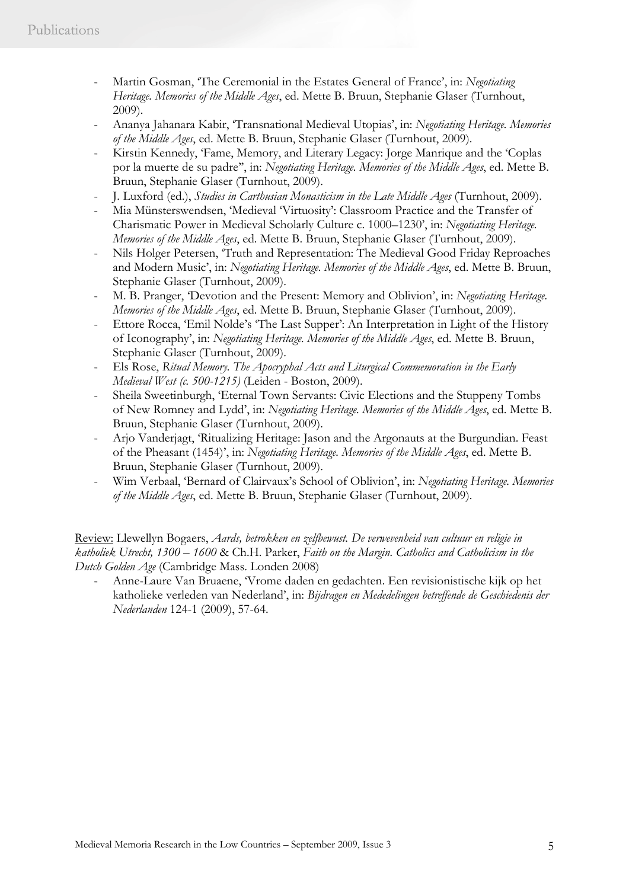- Martin Gosman, 'The Ceremonial in the Estates General of France', in: *Negotiating Heritage. Memories of the Middle Ages*, ed. Mette B. Bruun, Stephanie Glaser (Turnhout, 2009).
- Ananya Jahanara Kabir, 'Transnational Medieval Utopias', in: *Negotiating Heritage. Memories of the Middle Ages*, ed. Mette B. Bruun, Stephanie Glaser (Turnhout, 2009).
- Kirstin Kennedy, 'Fame, Memory, and Literary Legacy: Jorge Manrique and the 'Coplas por la muerte de su padre'', in: *Negotiating Heritage. Memories of the Middle Ages*, ed. Mette B. Bruun, Stephanie Glaser (Turnhout, 2009).
- J. Luxford (ed.), *Studies in Carthusian Monasticism in the Late Middle Ages* (Turnhout, 2009).
- Mia Münsterswendsen, 'Medieval 'Virtuosity': Classroom Practice and the Transfer of Charismatic Power in Medieval Scholarly Culture c. 1000–1230', in: *Negotiating Heritage. Memories of the Middle Ages*, ed. Mette B. Bruun, Stephanie Glaser (Turnhout, 2009).
- Nils Holger Petersen, 'Truth and Representation: The Medieval Good Friday Reproaches and Modern Music', in: *Negotiating Heritage. Memories of the Middle Ages*, ed. Mette B. Bruun, Stephanie Glaser (Turnhout, 2009).
- M. B. Pranger, 'Devotion and the Present: Memory and Oblivion', in: *Negotiating Heritage. Memories of the Middle Ages*, ed. Mette B. Bruun, Stephanie Glaser (Turnhout, 2009).
- Ettore Rocca, 'Emil Nolde's 'The Last Supper': An Interpretation in Light of the History of Iconography', in: *Negotiating Heritage. Memories of the Middle Ages*, ed. Mette B. Bruun, Stephanie Glaser (Turnhout, 2009).
- Els Rose, *Ritual Memory. The Apocryphal Acts and Liturgical Commemoration in the Early Medieval West (c. 500-1215)* (Leiden - Boston, 2009).
- Sheila Sweetinburgh, 'Eternal Town Servants: Civic Elections and the Stuppeny Tombs of New Romney and Lydd', in: *Negotiating Heritage. Memories of the Middle Ages*, ed. Mette B. Bruun, Stephanie Glaser (Turnhout, 2009).
- Arjo Vanderjagt, 'Ritualizing Heritage: Jason and the Argonauts at the Burgundian. Feast of the Pheasant (1454)', in: *Negotiating Heritage. Memories of the Middle Ages*, ed. Mette B. Bruun, Stephanie Glaser (Turnhout, 2009).
- Wim Verbaal, 'Bernard of Clairvaux's School of Oblivion', in: *Negotiating Heritage. Memories of the Middle Ages*, ed. Mette B. Bruun, Stephanie Glaser (Turnhout, 2009).

Review: Llewellyn Bogaers, *Aards, betrokken en zelfbewust. De verwevenheid van cultuur en religie in katholiek Utrecht, 1300 – 1600* & Ch.H. Parker, *Faith on the Margin. Catholics and Catholicism in the Dutch Golden Age* (Cambridge Mass. Londen 2008)

- Anne-Laure Van Bruaene, 'Vrome daden en gedachten. Een revisionistische kijk op het katholieke verleden van Nederland', in: *Bijdragen en Mededelingen betreffende de Geschiedenis der Nederlanden* 124-1 (2009), 57-64.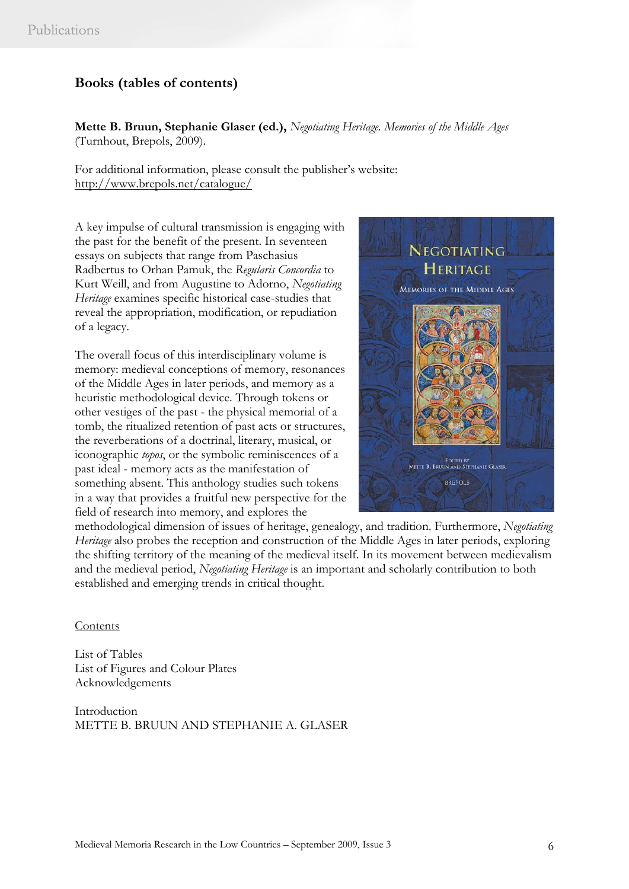# **Books (tables of contents)**

**Mette B. Bruun, Stephanie Glaser (ed.),** *Negotiating Heritage. Memories of the Middle Ages*  (Turnhout, Brepols, 2009).

For additional information, please consult the publisher's website: http://www.brepols.net/catalogue/

A key impulse of cultural transmission is engaging with the past for the benefit of the present. In seventeen essays on subjects that range from Paschasius Radbertus to Orhan Pamuk, the *Regularis Concordia* to Kurt Weill, and from Augustine to Adorno, *Negotiating Heritage* examines specific historical case-studies that reveal the appropriation, modification, or repudiation of a legacy.

The overall focus of this interdisciplinary volume is memory: medieval conceptions of memory, resonances of the Middle Ages in later periods, and memory as a heuristic methodological device. Through tokens or other vestiges of the past - the physical memorial of a tomb, the ritualized retention of past acts or structures, the reverberations of a doctrinal, literary, musical, or iconographic *topos*, or the symbolic reminiscences of a past ideal - memory acts as the manifestation of something absent. This anthology studies such tokens in a way that provides a fruitful new perspective for the field of research into memory, and explores the



methodological dimension of issues of heritage, genealogy, and tradition. Furthermore, *Negotiating Heritage* also probes the reception and construction of the Middle Ages in later periods, exploring the shifting territory of the meaning of the medieval itself. In its movement between medievalism and the medieval period, *Negotiating Heritage* is an important and scholarly contribution to both established and emerging trends in critical thought.

#### Contents

List of Tables List of Figures and Colour Plates Acknowledgements

Introduction METTE B. BRUUN AND STEPHANIE A. GLASER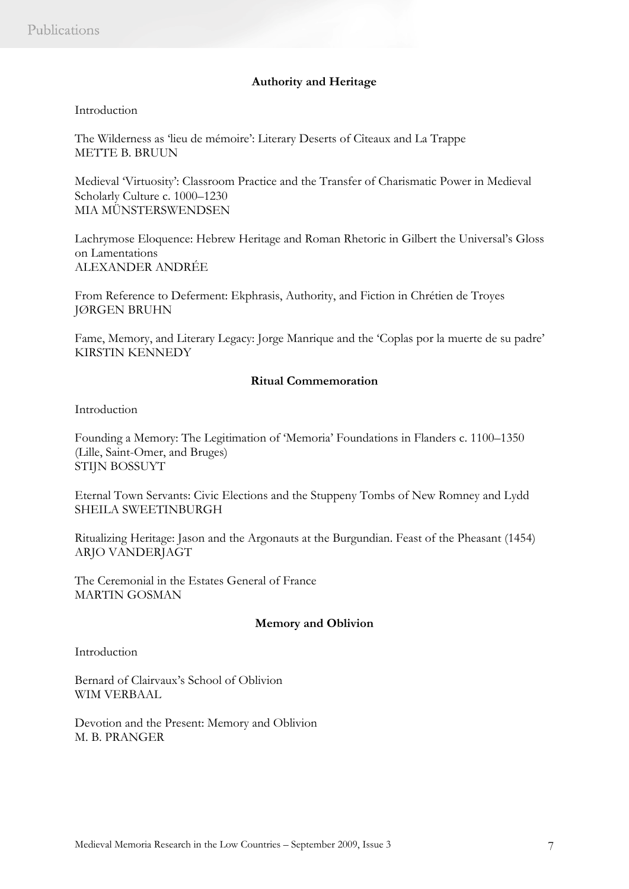#### **Authority and Heritage**

#### Introduction

The Wilderness as 'lieu de mémoire': Literary Deserts of Cîteaux and La Trappe METTE B. BRUUN

Medieval 'Virtuosity': Classroom Practice and the Transfer of Charismatic Power in Medieval Scholarly Culture c. 1000–1230 MIA MÜNSTERSWENDSEN

Lachrymose Eloquence: Hebrew Heritage and Roman Rhetoric in Gilbert the Universal's Gloss on Lamentations ALEXANDER ANDRÉE

From Reference to Deferment: Ekphrasis, Authority, and Fiction in Chrétien de Troyes JØRGEN BRUHN

Fame, Memory, and Literary Legacy: Jorge Manrique and the 'Coplas por la muerte de su padre' KIRSTIN KENNEDY

### **Ritual Commemoration**

Introduction

Founding a Memory: The Legitimation of 'Memoria' Foundations in Flanders c. 1100–1350 (Lille, Saint-Omer, and Bruges) STIJN BOSSUYT

Eternal Town Servants: Civic Elections and the Stuppeny Tombs of New Romney and Lydd SHEILA SWEETINBURGH

Ritualizing Heritage: Jason and the Argonauts at the Burgundian. Feast of the Pheasant (1454) ARJO VANDERJAGT

The Ceremonial in the Estates General of France MARTIN GOSMAN

#### **Memory and Oblivion**

Introduction

Bernard of Clairvaux's School of Oblivion WIM VERBAAL

Devotion and the Present: Memory and Oblivion M. B. PRANGER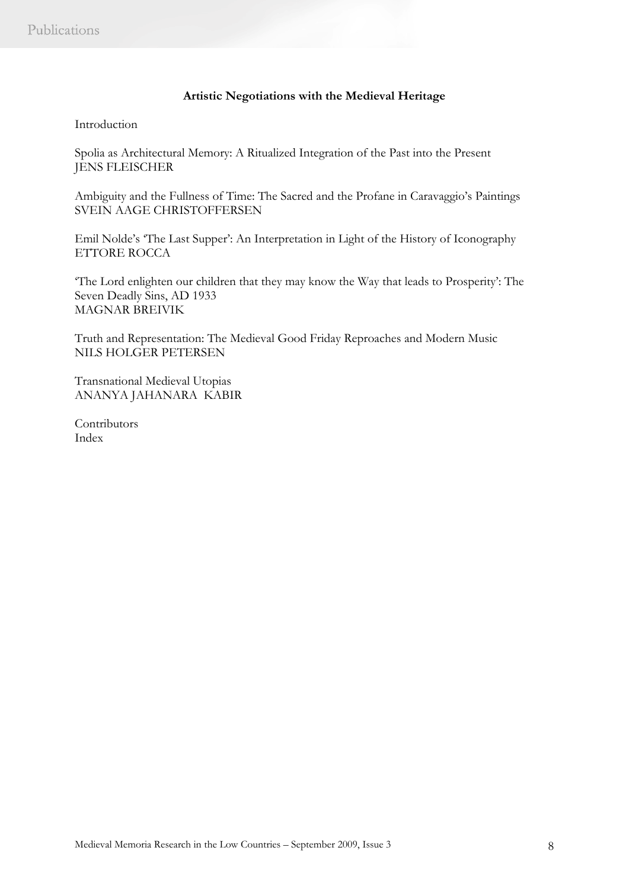### **Artistic Negotiations with the Medieval Heritage**

## Introduction

Spolia as Architectural Memory: A Ritualized Integration of the Past into the Present JENS FLEISCHER

Ambiguity and the Fullness of Time: The Sacred and the Profane in Caravaggio's Paintings SVEIN AAGE CHRISTOFFERSEN

Emil Nolde's 'The Last Supper': An Interpretation in Light of the History of Iconography ETTORE ROCCA

'The Lord enlighten our children that they may know the Way that leads to Prosperity': The Seven Deadly Sins, AD 1933 MAGNAR BREIVIK

Truth and Representation: The Medieval Good Friday Reproaches and Modern Music NILS HOLGER PETERSEN

Transnational Medieval Utopias ANANYA JAHANARA KABIR

**Contributors** Index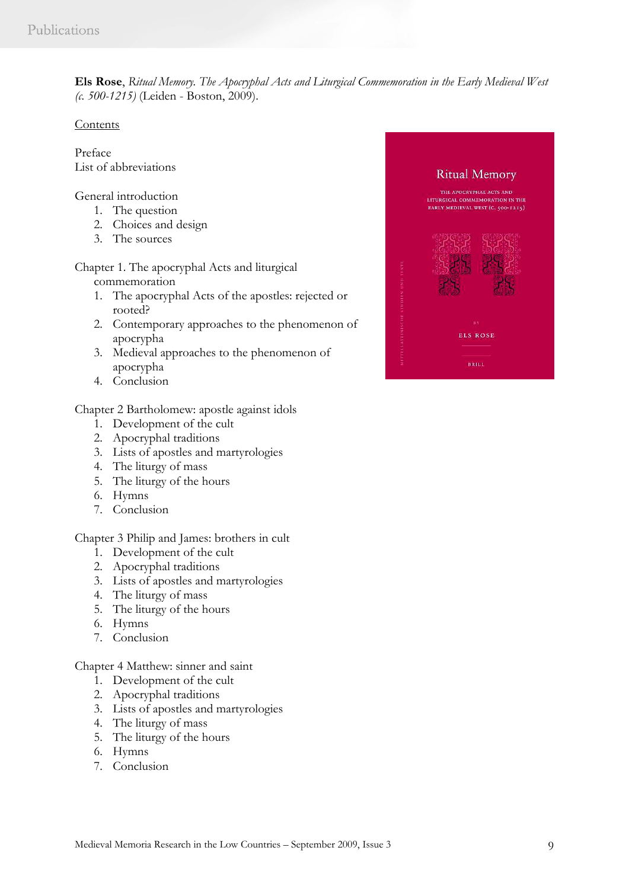**Els Rose**, *Ritual Memory. The Apocryphal Acts and Liturgical Commemoration in the Early Medieval West (c. 500-1215)* (Leiden - Boston, 2009).

### **Contents**

Preface List of abbreviations

General introduction

- 1. The question
- 2. Choices and design
- 3. The sources

Chapter 1. The apocryphal Acts and liturgical commemoration

- 1. The apocryphal Acts of the apostles: rejected or rooted?
- 2. Contemporary approaches to the phenomenon of apocrypha
- 3. Medieval approaches to the phenomenon of apocrypha
- 4. Conclusion

Chapter 2 Bartholomew: apostle against idols

- 1. Development of the cult
- 2. Apocryphal traditions
- 3. Lists of apostles and martyrologies
- 4. The liturgy of mass
- 5. The liturgy of the hours
- 6. Hymns
- 7. Conclusion

Chapter 3 Philip and James: brothers in cult

- 1. Development of the cult
- 2. Apocryphal traditions
- 3. Lists of apostles and martyrologies
- 4. The liturgy of mass
- 5. The liturgy of the hours
- 6. Hymns
- 7. Conclusion

Chapter 4 Matthew: sinner and saint

- 1. Development of the cult
- 2. Apocryphal traditions
- 3. Lists of apostles and martyrologies
- 4. The liturgy of mass
- 5. The liturgy of the hours
- 6. Hymns
- 7. Conclusion

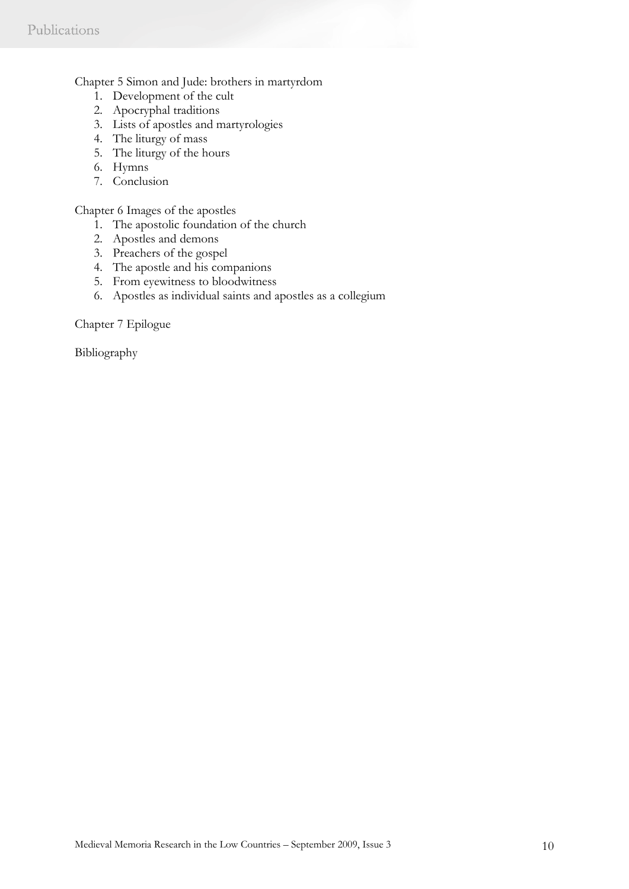### Chapter 5 Simon and Jude: brothers in martyrdom

- 1. Development of the cult
- 2. Apocryphal traditions
- 3. Lists of apostles and martyrologies
- 4. The liturgy of mass
- 5. The liturgy of the hours
- 6. Hymns
- 7. Conclusion

Chapter 6 Images of the apostles

- 1. The apostolic foundation of the church
- 2. Apostles and demons
- 3. Preachers of the gospel
- 4. The apostle and his companions
- 5. From eyewitness to bloodwitness
- 6. Apostles as individual saints and apostles as a collegium

Chapter 7 Epilogue

Bibliography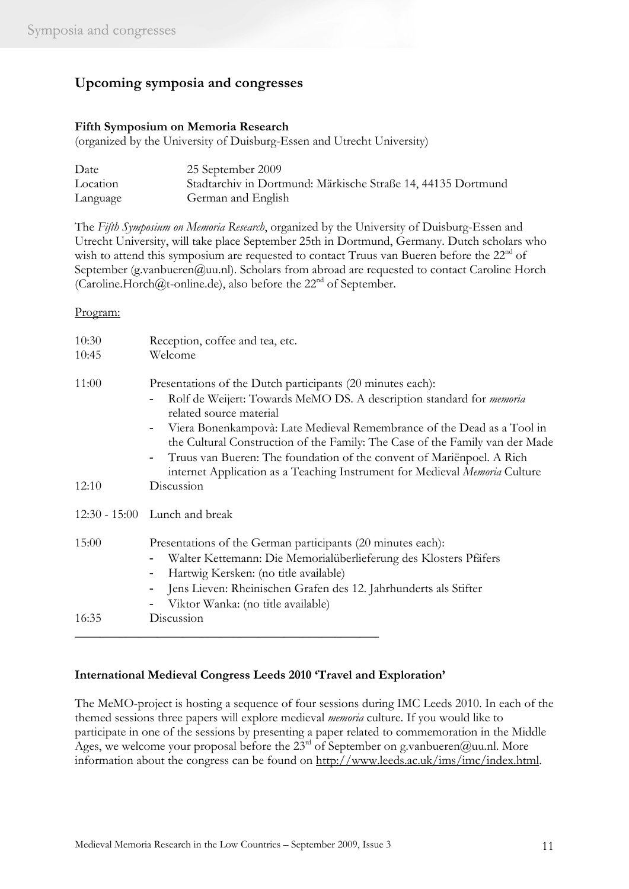# **Upcoming symposia and congresses**

## **Fifth Symposium on Memoria Research**

(organized by the University of Duisburg-Essen and Utrecht University)

| Date     | 25 September 2009                                            |
|----------|--------------------------------------------------------------|
| Location | Stadtarchiv in Dortmund: Märkische Straße 14, 44135 Dortmund |
| Language | German and English                                           |

The *Fifth Symposium on Memoria Research*, organized by the University of Duisburg-Essen and Utrecht University, will take place September 25th in Dortmund, Germany. Dutch scholars who wish to attend this symposium are requested to contact Truus van Bueren before the  $22<sup>nd</sup>$  of September (g.vanbueren@uu.nl). Scholars from abroad are requested to contact Caroline Horch (Caroline.Horch@t-online.de), also before the  $22<sup>nd</sup>$  of September.

#### Program:

| 10:30<br>10:45 | Reception, coffee and tea, etc.<br>Welcome                                                                                                                                                                                                                                                                                                                                                                                                                                            |
|----------------|---------------------------------------------------------------------------------------------------------------------------------------------------------------------------------------------------------------------------------------------------------------------------------------------------------------------------------------------------------------------------------------------------------------------------------------------------------------------------------------|
| 11:00          | Presentations of the Dutch participants (20 minutes each):<br>Rolf de Weijert: Towards MeMO DS. A description standard for <i>memoria</i><br>related source material<br>Viera Bonenkampovà: Late Medieval Remembrance of the Dead as a Tool in<br>the Cultural Construction of the Family: The Case of the Family van der Made<br>Truus van Bueren: The foundation of the convent of Mariënpoel. A Rich<br>internet Application as a Teaching Instrument for Medieval Memoria Culture |
| 12:10          | Discussion                                                                                                                                                                                                                                                                                                                                                                                                                                                                            |
|                | 12:30 - 15:00 Lunch and break                                                                                                                                                                                                                                                                                                                                                                                                                                                         |
| 15:00          | Presentations of the German participants (20 minutes each):<br>Walter Kettemann: Die Memorialüberlieferung des Klosters Pfäfers<br>Hartwig Kersken: (no title available)<br>$\overline{\phantom{a}}$<br>Jens Lieven: Rheinischen Grafen des 12. Jahrhunderts als Stifter<br>Viktor Wanka: (no title available)                                                                                                                                                                        |
| 16:35          | Discussion                                                                                                                                                                                                                                                                                                                                                                                                                                                                            |

### **International Medieval Congress Leeds 2010 'Travel and Exploration'**

The MeMO-project is hosting a sequence of four sessions during IMC Leeds 2010. In each of the themed sessions three papers will explore medieval *memoria* culture. If you would like to participate in one of the sessions by presenting a paper related to commemoration in the Middle Ages, we welcome your proposal before the 23<sup>rd</sup> of September on g.vanbueren@uu.nl. More information about the congress can be found on http://www.leeds.ac.uk/ims/imc/index.html.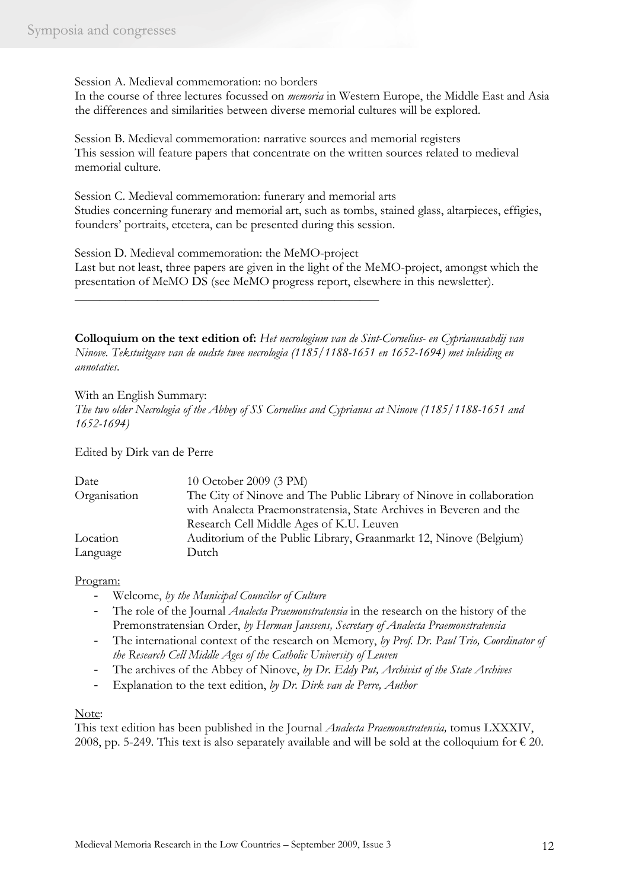Session A. Medieval commemoration: no borders

In the course of three lectures focussed on *memoria* in Western Europe, the Middle East and Asia the differences and similarities between diverse memorial cultures will be explored.

Session B. Medieval commemoration: narrative sources and memorial registers This session will feature papers that concentrate on the written sources related to medieval memorial culture.

Session C. Medieval commemoration: funerary and memorial arts Studies concerning funerary and memorial art, such as tombs, stained glass, altarpieces, effigies, founders' portraits, etcetera, can be presented during this session.

Session D. Medieval commemoration: the MeMO-project

\_\_\_\_\_\_\_\_\_\_\_\_\_\_\_\_\_\_\_\_\_\_\_\_\_\_\_\_\_\_\_\_\_\_\_\_\_\_\_\_\_\_\_\_\_\_\_\_

Last but not least, three papers are given in the light of the MeMO-project, amongst which the presentation of MeMO DS (see MeMO progress report, elsewhere in this newsletter).

**Colloquium on the text edition of:** *Het necrologium van de Sint-Cornelius- en Cyprianusabdij van Ninove. Tekstuitgave van de oudste twee necrologia (1185/1188-1651 en 1652-1694) met inleiding en annotaties.*

With an English Summary: *The two older Necrologia of the Abbey of SS Cornelius and Cyprianus at Ninove (1185/1188-1651 and 1652-1694)*

Edited by Dirk van de Perre

| Date         | 10 October 2009 (3 PM)                                               |
|--------------|----------------------------------------------------------------------|
| Organisation | The City of Ninove and The Public Library of Ninove in collaboration |
|              | with Analecta Praemonstratensia, State Archives in Beveren and the   |
|              | Research Cell Middle Ages of K.U. Leuven                             |
| Location     | Auditorium of the Public Library, Graanmarkt 12, Ninove (Belgium)    |
| Language     | Dutch                                                                |

### Program:

- Welcome, *by the Municipal Councilor of Culture*
- The role of the Journal *Analecta Praemonstratensia* in the research on the history of the Premonstratensian Order, *by Herman Janssens, Secretary of Analecta Praemonstratensia*
- The international context of the research on Memory, *by Prof. Dr. Paul Trio, Coordinator of the Research Cell Middle Ages of the Catholic University of Leuven*
- The archives of the Abbey of Ninove, *by Dr. Eddy Put, Archivist of the State Archives*
- Explanation to the text edition, *by Dr. Dirk van de Perre, Author*

Note:

This text edition has been published in the Journal *Analecta Praemonstratensia,* tomus LXXXIV, 2008, pp. 5-249. This text is also separately available and will be sold at the colloquium for  $\epsilon$  20.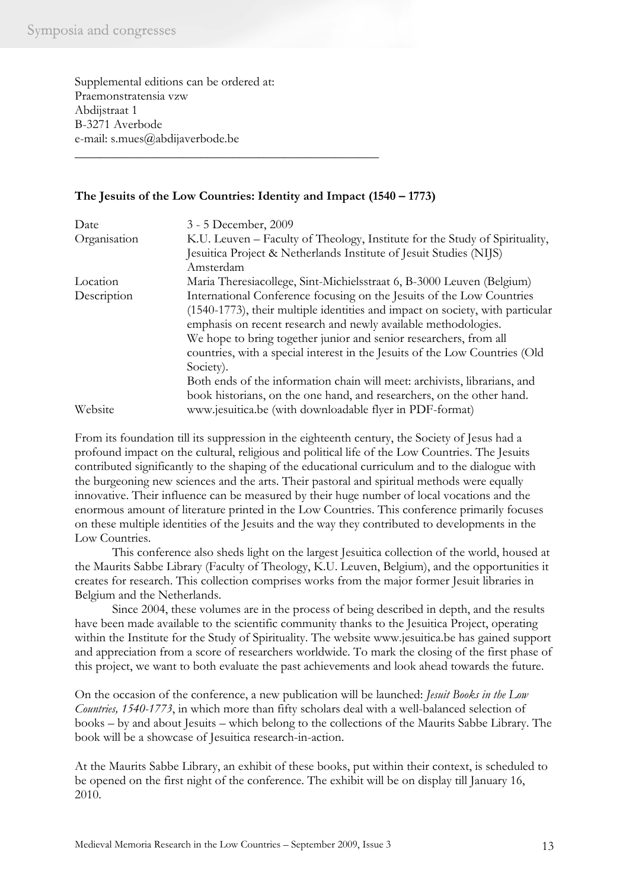Supplemental editions can be ordered at: Praemonstratensia vzw Abdijstraat 1 B-3271 Averbode e-mail: s.mues@abdijaverbode.be

## **The Jesuits of the Low Countries: Identity and Impact (1540 – 1773)**

\_\_\_\_\_\_\_\_\_\_\_\_\_\_\_\_\_\_\_\_\_\_\_\_\_\_\_\_\_\_\_\_\_\_\_\_\_\_\_\_\_\_\_\_\_\_\_\_

| Date         | 3 - 5 December, 2009                                                          |
|--------------|-------------------------------------------------------------------------------|
| Organisation | K.U. Leuven – Faculty of Theology, Institute for the Study of Spirituality,   |
|              | Jesuitica Project & Netherlands Institute of Jesuit Studies (NIJS)            |
|              | Amsterdam                                                                     |
| Location     | Maria Theresiacollege, Sint-Michielsstraat 6, B-3000 Leuven (Belgium)         |
| Description  | International Conference focusing on the Jesuits of the Low Countries         |
|              | (1540-1773), their multiple identities and impact on society, with particular |
|              | emphasis on recent research and newly available methodologies.                |
|              | We hope to bring together junior and senior researchers, from all             |
|              | countries, with a special interest in the Jesuits of the Low Countries (Old   |
|              | Society).                                                                     |
|              | Both ends of the information chain will meet: archivists, librarians, and     |
|              | book historians, on the one hand, and researchers, on the other hand.         |
| Website      | www.jesuitica.be (with downloadable flyer in PDF-format)                      |

From its foundation till its suppression in the eighteenth century, the Society of Jesus had a profound impact on the cultural, religious and political life of the Low Countries. The Jesuits contributed significantly to the shaping of the educational curriculum and to the dialogue with the burgeoning new sciences and the arts. Their pastoral and spiritual methods were equally innovative. Their influence can be measured by their huge number of local vocations and the enormous amount of literature printed in the Low Countries. This conference primarily focuses on these multiple identities of the Jesuits and the way they contributed to developments in the Low Countries.

This conference also sheds light on the largest Jesuitica collection of the world, housed at the Maurits Sabbe Library (Faculty of Theology, K.U. Leuven, Belgium), and the opportunities it creates for research. This collection comprises works from the major former Jesuit libraries in Belgium and the Netherlands.

Since 2004, these volumes are in the process of being described in depth, and the results have been made available to the scientific community thanks to the Jesuitica Project, operating within the Institute for the Study of Spirituality. The website www.jesuitica.be has gained support and appreciation from a score of researchers worldwide. To mark the closing of the first phase of this project, we want to both evaluate the past achievements and look ahead towards the future.

On the occasion of the conference, a new publication will be launched: *Jesuit Books in the Low Countries, 1540-1773*, in which more than fifty scholars deal with a well-balanced selection of books – by and about Jesuits – which belong to the collections of the Maurits Sabbe Library. The book will be a showcase of Jesuitica research-in-action.

At the Maurits Sabbe Library, an exhibit of these books, put within their context, is scheduled to be opened on the first night of the conference. The exhibit will be on display till January 16, 2010.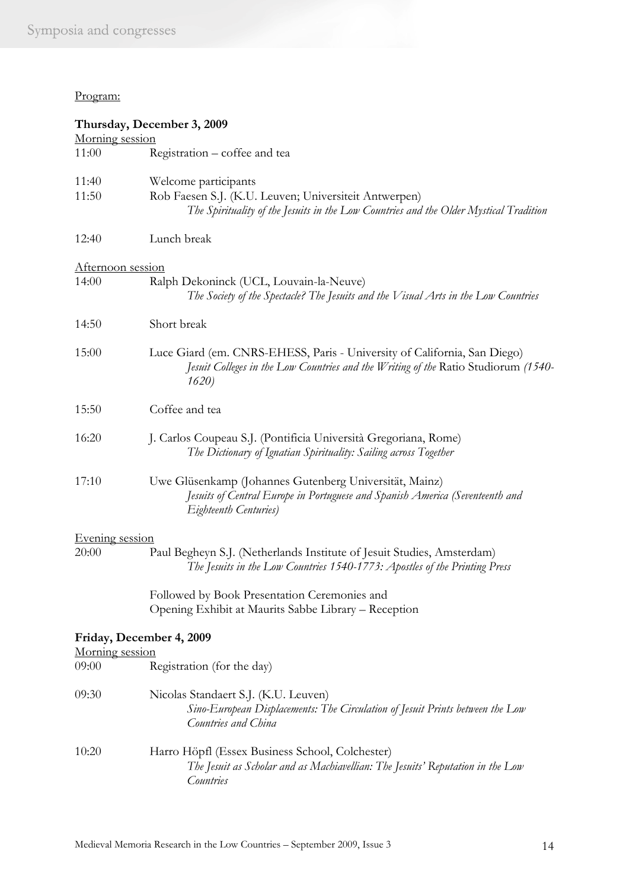### Program:

|                   | Thursday, December 3, 2009                                                                                                                                              |
|-------------------|-------------------------------------------------------------------------------------------------------------------------------------------------------------------------|
| Morning session   |                                                                                                                                                                         |
| 11:00             | Registration – coffee and tea                                                                                                                                           |
| 11:40             | Welcome participants                                                                                                                                                    |
| 11:50             | Rob Faesen S.J. (K.U. Leuven; Universiteit Antwerpen)<br>The Spirituality of the Jesuits in the Low Countries and the Older Mystical Tradition                          |
| 12:40             | Lunch break                                                                                                                                                             |
| Afternoon session |                                                                                                                                                                         |
| 14:00             | Ralph Dekoninck (UCL, Louvain-la-Neuve)<br>The Society of the Spectacle? The Jesuits and the Visual Arts in the Low Countries                                           |
| 14:50             | Short break                                                                                                                                                             |
| 15:00             | Luce Giard (em. CNRS-EHESS, Paris - University of California, San Diego)<br>Jesuit Colleges in the Low Countries and the Writing of the Ratio Studiorum (1540-<br>1620) |
| 15:50             | Coffee and tea                                                                                                                                                          |
| 16:20             | J. Carlos Coupeau S.J. (Pontificia Università Gregoriana, Rome)<br>The Dictionary of Ignatian Spirituality: Sailing across Together                                     |
| 17:10             | Uwe Glüsenkamp (Johannes Gutenberg Universität, Mainz)<br>Jesuits of Central Europe in Portuguese and Spanish America (Seventeenth and<br>Eighteenth Centuries)         |
| Evening session   |                                                                                                                                                                         |
| 20:00             | Paul Begheyn S.J. (Netherlands Institute of Jesuit Studies, Amsterdam)<br>The Jesuits in the Low Countries 1540-1773: Apostles of the Printing Press                    |
|                   | Followed by Book Presentation Ceremonies and                                                                                                                            |
|                   | Opening Exhibit at Maurits Sabbe Library - Reception                                                                                                                    |
|                   | Friday, December 4, 2009                                                                                                                                                |
| Morning session   |                                                                                                                                                                         |
| 09:00             | Registration (for the day)                                                                                                                                              |
| 09:30             | Nicolas Standaert S.J. (K.U. Leuven)<br>Sino-European Displacements: The Circulation of Jesuit Prints between the Low<br>Countries and China                            |
| 10:20             | Harro Höpfl (Essex Business School, Colchester)<br>The Jesuit as Scholar and as Machiavellian: The Jesuits' Reputation in the Low<br><b>Countries</b>                   |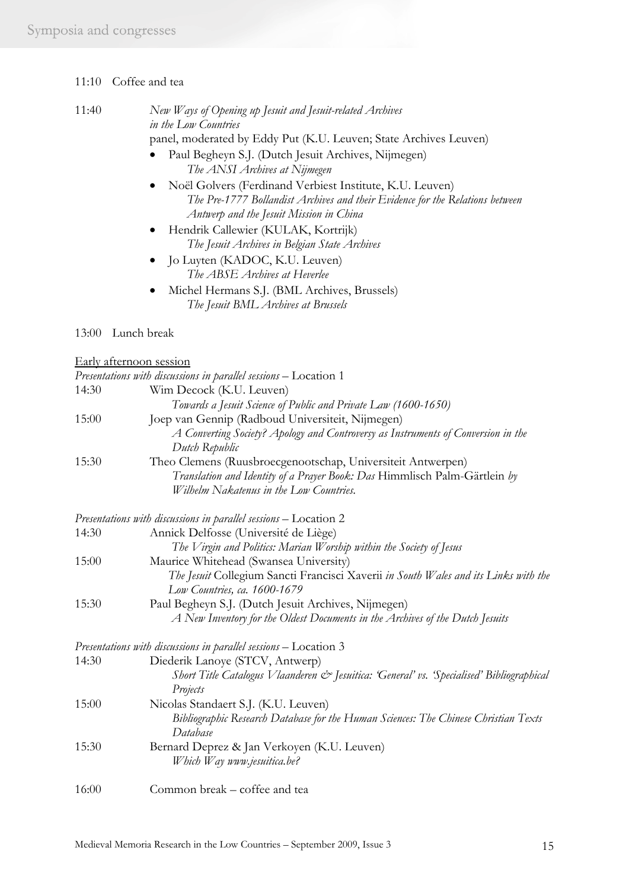| 11:40 | New Ways of Opening up Jesuit and Jesuit-related Archives         |
|-------|-------------------------------------------------------------------|
|       | in the Low Countries                                              |
|       | panel, moderated by Eddy Put (K.U. Leuven; State Archives Leuven) |
|       | • Paul Begbeyn S.I. (Dutch Jesuit Archives Nijmegen)              |

- Paul Begheyn S.J. (Dutch Jesuit Archives, Nijmegen) *The ANSI Archives at Nijmegen*
- Noël Golvers (Ferdinand Verbiest Institute, K.U. Leuven) *The Pre-1777 Bollandist Archives and their Evidence for the Relations between Antwerp and the Jesuit Mission in China*
- Hendrik Callewier (KULAK, Kortrijk) *The Jesuit Archives in Belgian State Archives*
- Jo Luyten (KADOC, K.U. Leuven) *The ABSE Archives at Heverlee*
- Michel Hermans S.J. (BML Archives, Brussels) *The Jesuit BML Archives at Brussels*

#### 13:00 Lunch break

#### Early afternoon session

|       | Presentations with discussions in parallel sessions - Location 1                                                     |
|-------|----------------------------------------------------------------------------------------------------------------------|
| 14:30 | Wim Decock (K.U. Leuven)                                                                                             |
|       | Towards a Jesuit Science of Public and Private Law (1600-1650)                                                       |
| 15:00 | Joep van Gennip (Radboud Universiteit, Nijmegen)                                                                     |
|       | A Converting Society? Apology and Controversy as Instruments of Conversion in the<br>Dutch Republic                  |
| 15:30 | Theo Clemens (Ruusbroecgenootschap, Universiteit Antwerpen)                                                          |
|       | Translation and Identity of a Prayer Book: Das Himmlisch Palm-Gärtlein by<br>Wilhelm Nakatenus in the Low Countries. |
|       | Presentations with discussions in parallel sessions - Location 2                                                     |
| 14:30 | Annick Delfosse (Université de Liège)                                                                                |
|       | The Virgin and Politics: Marian Worship within the Society of Jesus                                                  |
| 15:00 | Maurice Whitehead (Swansea University)                                                                               |
|       | The Jesuit Collegium Sancti Francisci Xaverii in South Wales and its Links with the<br>Low Countries, ca. 1600-1679  |
| 15:30 | Paul Begheyn S.J. (Dutch Jesuit Archives, Nijmegen)                                                                  |
|       | A New Inventory for the Oldest Documents in the Archives of the Dutch Jesuits                                        |
|       | Presentations with discussions in parallel sessions - Location 3                                                     |
| 14:30 | Diederik Lanoye (STCV, Antwerp)                                                                                      |
|       | Short Title Catalogus Vlaanderen & Jesuitica: 'General' vs. 'Specialised' Bibliographical<br>Projects                |
| 15:00 | Nicolas Standaert S.J. (K.U. Leuven)                                                                                 |
|       | Bibliographic Research Database for the Human Sciences: The Chinese Christian Texts<br>Database                      |
| 15:30 | Bernard Deprez & Jan Verkoyen (K.U. Leuven)<br>Which Way www.jesuitica.be?                                           |
| 16:00 | Common break – coffee and tea                                                                                        |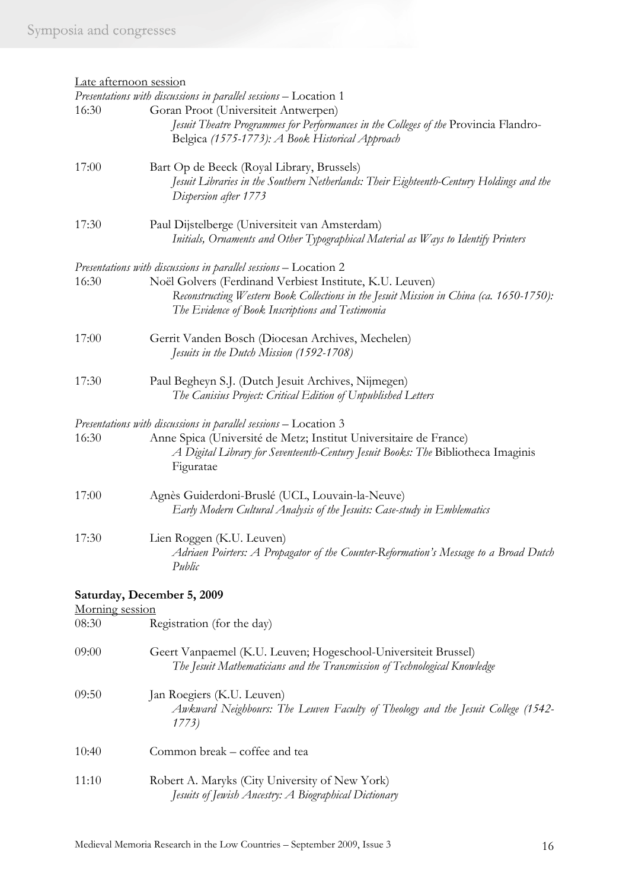| Late afternoon session |                                                                                         |
|------------------------|-----------------------------------------------------------------------------------------|
|                        | Presentations with discussions in parallel sessions - Location 1                        |
| 16:30                  | Goran Proot (Universiteit Antwerpen)                                                    |
|                        | Jesuit Theatre Programmes for Performances in the Colleges of the Provincia Flandro-    |
|                        | Belgica (1575-1773): A Book Historical Approach                                         |
| 17:00                  | Bart Op de Beeck (Royal Library, Brussels)                                              |
|                        | Jesuit Libraries in the Southern Netherlands: Their Eighteenth-Century Holdings and the |
|                        | Dispersion after 1773                                                                   |
| 17:30                  | Paul Dijstelberge (Universiteit van Amsterdam)                                          |
|                        | Initials, Ornaments and Other Typographical Material as Ways to Identify Printers       |
|                        | Presentations with discussions in parallel sessions - Location 2                        |
| 16:30                  | Noël Golvers (Ferdinand Verbiest Institute, K.U. Leuven)                                |
|                        | Reconstructing Western Book Collections in the Jesuit Mission in China (ca. 1650-1750): |
|                        | The Evidence of Book Inscriptions and Testimonia                                        |
| 17:00                  | Gerrit Vanden Bosch (Diocesan Archives, Mechelen)                                       |
|                        | Jesuits in the Dutch Mission (1592-1708)                                                |
| 17:30                  | Paul Begheyn S.J. (Dutch Jesuit Archives, Nijmegen)                                     |
|                        | The Canisius Project: Critical Edition of Unpublished Letters                           |
|                        |                                                                                         |
|                        | Presentations with discussions in parallel sessions - Location 3                        |
| 16:30                  | Anne Spica (Université de Metz; Institut Universitaire de France)                       |
|                        | A Digital Library for Seventeenth-Century Jesuit Books: The Bibliotheca Imaginis        |
|                        | Figuratae                                                                               |
| 17:00                  | Agnès Guiderdoni-Bruslé (UCL, Louvain-la-Neuve)                                         |
|                        | Early Modern Cultural Analysis of the Jesuits: Case-study in Emblematics                |
| 17:30                  | Lien Roggen (K.U. Leuven)                                                               |
|                        | Adriaen Poirters: A Propagator of the Counter-Reformation's Message to a Broad Dutch    |
|                        | Public                                                                                  |
|                        | Saturday, December 5, 2009                                                              |
| Morning session        |                                                                                         |
| 08:30                  | Registration (for the day)                                                              |
| 09:00                  | Geert Vanpaemel (K.U. Leuven; Hogeschool-Universiteit Brussel)                          |
|                        | The Jesuit Mathematicians and the Transmission of Technological Knowledge               |
|                        |                                                                                         |
| 09:50                  | Jan Roegiers (K.U. Leuven)                                                              |
|                        | Awkward Neighbours: The Leuven Faculty of Theology and the Jesuit College (1542-        |

10:40 Common break – coffee and tea

*1773)* 

11:10 Robert A. Maryks (City University of New York) *Jesuits of Jewish Ancestry: A Biographical Dictionary*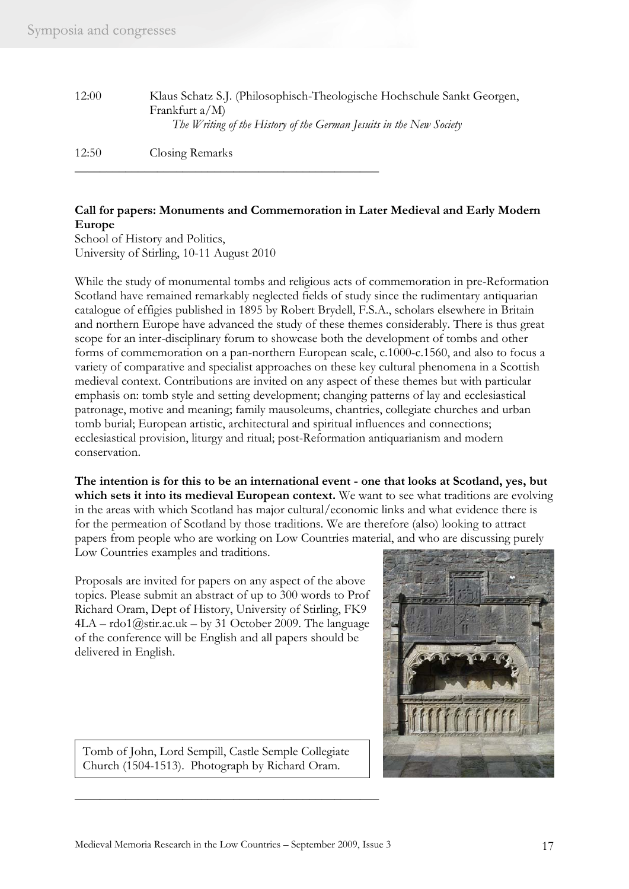| 12:00 | Klaus Schatz S.J. (Philosophisch-Theologische Hochschule Sankt Georgen,<br>Frankfurt $a/M$ )<br>The Writing of the History of the German Jesuits in the New Society |
|-------|---------------------------------------------------------------------------------------------------------------------------------------------------------------------|
| 12:50 | Closing Remarks                                                                                                                                                     |

## **Call for papers: Monuments and Commemoration in Later Medieval and Early Modern Europe**

School of History and Politics, University of Stirling, 10-11 August 2010

\_\_\_\_\_\_\_\_\_\_\_\_\_\_\_\_\_\_\_\_\_\_\_\_\_\_\_\_\_\_\_\_\_\_\_\_\_\_\_\_\_\_\_\_\_\_\_\_

While the study of monumental tombs and religious acts of commemoration in pre-Reformation Scotland have remained remarkably neglected fields of study since the rudimentary antiquarian catalogue of effigies published in 1895 by Robert Brydell, F.S.A., scholars elsewhere in Britain and northern Europe have advanced the study of these themes considerably. There is thus great scope for an inter-disciplinary forum to showcase both the development of tombs and other forms of commemoration on a pan-northern European scale, c.1000-c.1560, and also to focus a variety of comparative and specialist approaches on these key cultural phenomena in a Scottish medieval context. Contributions are invited on any aspect of these themes but with particular emphasis on: tomb style and setting development; changing patterns of lay and ecclesiastical patronage, motive and meaning; family mausoleums, chantries, collegiate churches and urban tomb burial; European artistic, architectural and spiritual influences and connections; ecclesiastical provision, liturgy and ritual; post-Reformation antiquarianism and modern conservation.

**The intention is for this to be an international event - one that looks at Scotland, yes, but**  which sets it into its medieval European context. We want to see what traditions are evolving in the areas with which Scotland has major cultural/economic links and what evidence there is for the permeation of Scotland by those traditions. We are therefore (also) looking to attract papers from people who are working on Low Countries material, and who are discussing purely Low Countries examples and traditions.

Proposals are invited for papers on any aspect of the above topics. Please submit an abstract of up to 300 words to Prof Richard Oram, Dept of History, University of Stirling, FK9  $4LA - \text{rdo1@str.ac.uk} - \text{by 31 October 2009.}$  The language of the conference will be English and all papers should be delivered in English.



Tomb of John, Lord Sempill, Castle Semple Collegiate Church (1504-1513). Photograph by Richard Oram.

\_\_\_\_\_\_\_\_\_\_\_\_\_\_\_\_\_\_\_\_\_\_\_\_\_\_\_\_\_\_\_\_\_\_\_\_\_\_\_\_\_\_\_\_\_\_\_\_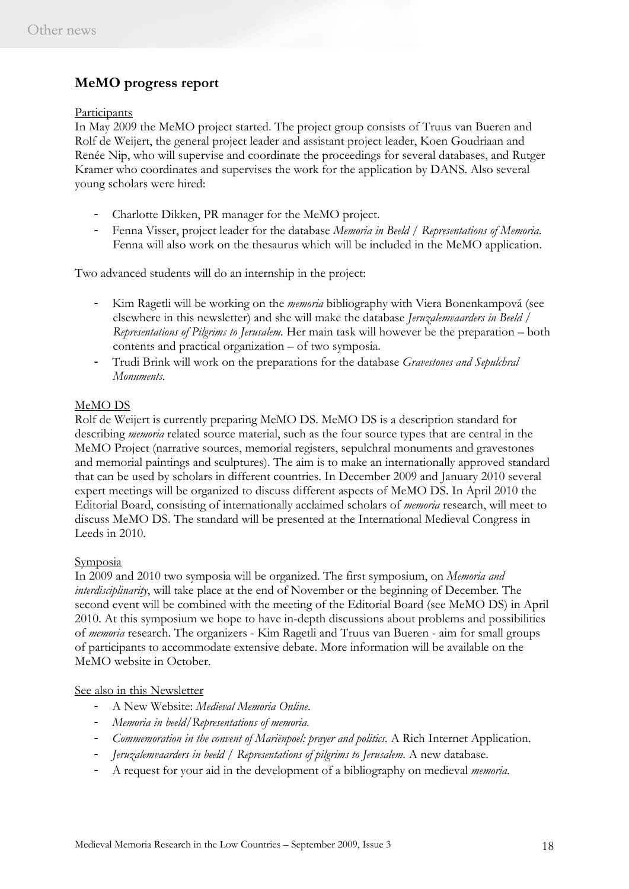# **MeMO progress report**

#### Participants

In May 2009 the MeMO project started. The project group consists of Truus van Bueren and Rolf de Weijert, the general project leader and assistant project leader, Koen Goudriaan and Renée Nip, who will supervise and coordinate the proceedings for several databases, and Rutger Kramer who coordinates and supervises the work for the application by DANS. Also several young scholars were hired:

- Charlotte Dikken, PR manager for the MeMO project.
- Fenna Visser, project leader for the database *Memoria in Beeld / Representations of Memoria*. Fenna will also work on the thesaurus which will be included in the MeMO application.

Two advanced students will do an internship in the project:

- Kim Ragetli will be working on the *memoria* bibliography with Viera Bonenkampová (see elsewhere in this newsletter) and she will make the database *Jeruzalemvaarders in Beeld / Representations of Pilgrims to Jerusalem.* Her main task will however be the preparation – both contents and practical organization – of two symposia.
- Trudi Brink will work on the preparations for the database *Gravestones and Sepulchral Monuments*.

#### MeMO DS

Rolf de Weijert is currently preparing MeMO DS. MeMO DS is a description standard for describing *memoria* related source material, such as the four source types that are central in the MeMO Project (narrative sources, memorial registers, sepulchral monuments and gravestones and memorial paintings and sculptures). The aim is to make an internationally approved standard that can be used by scholars in different countries. In December 2009 and January 2010 several expert meetings will be organized to discuss different aspects of MeMO DS. In April 2010 the Editorial Board, consisting of internationally acclaimed scholars of *memoria* research, will meet to discuss MeMO DS. The standard will be presented at the International Medieval Congress in Leeds in 2010.

#### Symposia

In 2009 and 2010 two symposia will be organized. The first symposium, on *Memoria and interdisciplinarity*, will take place at the end of November or the beginning of December. The second event will be combined with the meeting of the Editorial Board (see MeMO DS) in April 2010. At this symposium we hope to have in-depth discussions about problems and possibilities of *memoria* research. The organizers - Kim Ragetli and Truus van Bueren - aim for small groups of participants to accommodate extensive debate. More information will be available on the MeMO website in October.

#### See also in this Newsletter

- A New Website: *Medieval Memoria Online*.
- *Memoria in beeld/Representations of memoria*.
- *Commemoration in the convent of Mariënpoel: prayer and politics.* A Rich Internet Application.
- *Jeruzalemvaarders in beeld / Representations of pilgrims to Jerusalem*. A new database.
- A request for your aid in the development of a bibliography on medieval *memoria*.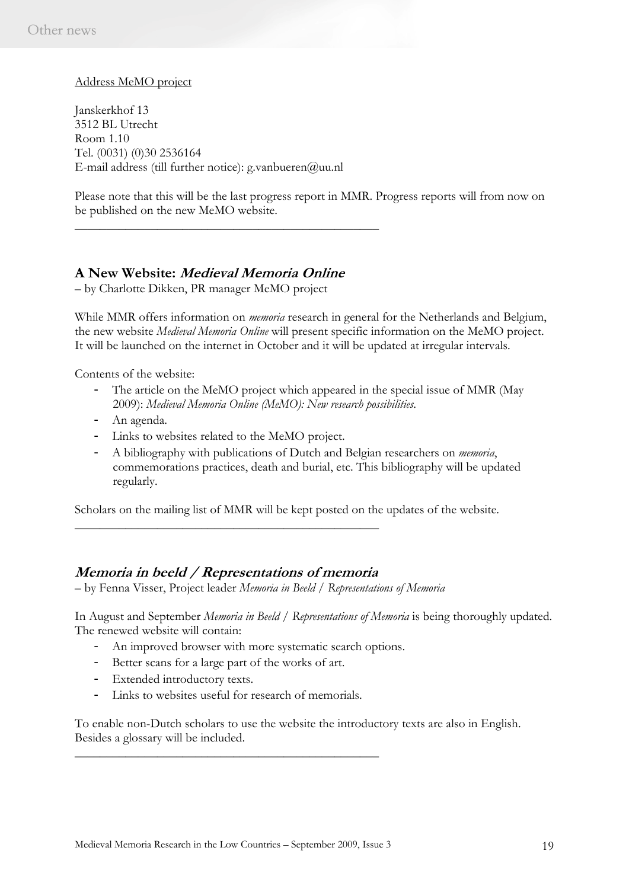### Address MeMO project

Janskerkhof 13 3512 BL Utrecht Room 1.10 Tel. (0031) (0)30 2536164 E-mail address (till further notice): g.vanbueren@uu.nl

Please note that this will be the last progress report in MMR. Progress reports will from now on be published on the new MeMO website.

## **A New Website: Medieval Memoria Online**

\_\_\_\_\_\_\_\_\_\_\_\_\_\_\_\_\_\_\_\_\_\_\_\_\_\_\_\_\_\_\_\_\_\_\_\_\_\_\_\_\_\_\_\_\_\_\_\_

– by Charlotte Dikken, PR manager MeMO project

While MMR offers information on *memoria* research in general for the Netherlands and Belgium, the new website *Medieval Memoria Online* will present specific information on the MeMO project. It will be launched on the internet in October and it will be updated at irregular intervals.

Contents of the website:

- The article on the MeMO project which appeared in the special issue of MMR (May 2009): *Medieval Memoria Online (MeMO): New research possibilities*.
- An agenda.
- Links to websites related to the MeMO project.
- A bibliography with publications of Dutch and Belgian researchers on *memoria*, commemorations practices, death and burial, etc. This bibliography will be updated regularly.

Scholars on the mailing list of MMR will be kept posted on the updates of the website.

## **Memoria in beeld / Representations of memoria**

\_\_\_\_\_\_\_\_\_\_\_\_\_\_\_\_\_\_\_\_\_\_\_\_\_\_\_\_\_\_\_\_\_\_\_\_\_\_\_\_\_\_\_\_\_\_\_\_

– by Fenna Visser, Project leader *Memoria in Beeld / Representations of Memoria*

In August and September *Memoria in Beeld / Representations of Memoria* is being thoroughly updated. The renewed website will contain:

- An improved browser with more systematic search options.
- Better scans for a large part of the works of art.
- Extended introductory texts.
- Links to websites useful for research of memorials.

\_\_\_\_\_\_\_\_\_\_\_\_\_\_\_\_\_\_\_\_\_\_\_\_\_\_\_\_\_\_\_\_\_\_\_\_\_\_\_\_\_\_\_\_\_\_\_\_

To enable non-Dutch scholars to use the website the introductory texts are also in English. Besides a glossary will be included.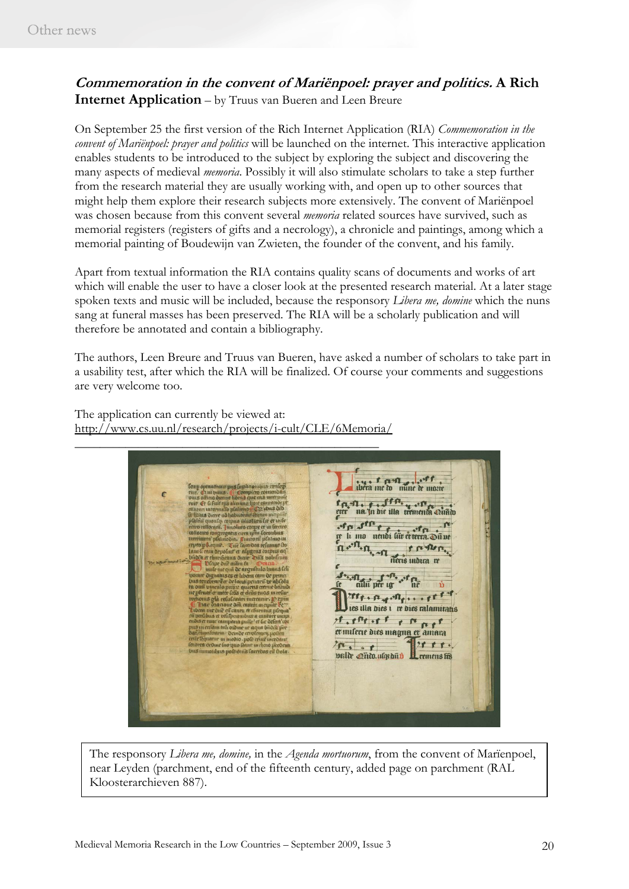# **Commemoration in the convent of Mariënpoel: prayer and politics. A Rich Internet Application** – by Truus van Bueren and Leen Breure

On September 25 the first version of the Rich Internet Application (RIA) *Commemoration in the convent of Mariënpoel: prayer and politics* will be launched on the internet. This interactive application enables students to be introduced to the subject by exploring the subject and discovering the many aspects of medieval *memoria*. Possibly it will also stimulate scholars to take a step further from the research material they are usually working with, and open up to other sources that might help them explore their research subjects more extensively. The convent of Mariënpoel was chosen because from this convent several *memoria* related sources have survived, such as memorial registers (registers of gifts and a necrology), a chronicle and paintings, among which a memorial painting of Boudewijn van Zwieten, the founder of the convent, and his family.

Apart from textual information the RIA contains quality scans of documents and works of art which will enable the user to have a closer look at the presented research material. At a later stage spoken texts and music will be included, because the responsory *Libera me, domine* which the nuns sang at funeral masses has been preserved. The RIA will be a scholarly publication and will therefore be annotated and contain a bibliography.

The authors, Leen Breure and Truus van Bueren, have asked a number of scholars to take part in a usability test, after which the RIA will be finalized. Of course your comments and suggestions are very welcome too.

The application can currently be viewed at: http://www.cs.uu.nl/research/projects/i-cult/CLE/6Memoria/

\_\_\_\_\_\_\_\_\_\_\_\_\_\_\_\_\_\_\_\_\_\_\_\_\_\_\_\_\_\_\_\_\_\_\_\_\_\_\_\_\_\_\_\_\_\_\_\_

there it can't see the south fre na in die illa trementa cuato of p of the the contractor of the contractor 1.1.0.01 s ruiller. néris mdica re or libera cam de m alla per ig \*\*\* he Tre . A poller ... Pre ies illa bies i re dies ralamitatis Tranger in the et milerie dies magna et amara  $10.11$  $2888.$ valde onto ulgrand Leemens fre

The responsory *Libera me, domine,* in the *Agenda mortuorum*, from the convent of Marïenpoel, near Leyden (parchment, end of the fifteenth century, added page on parchment (RAL Kloosterarchieven 887).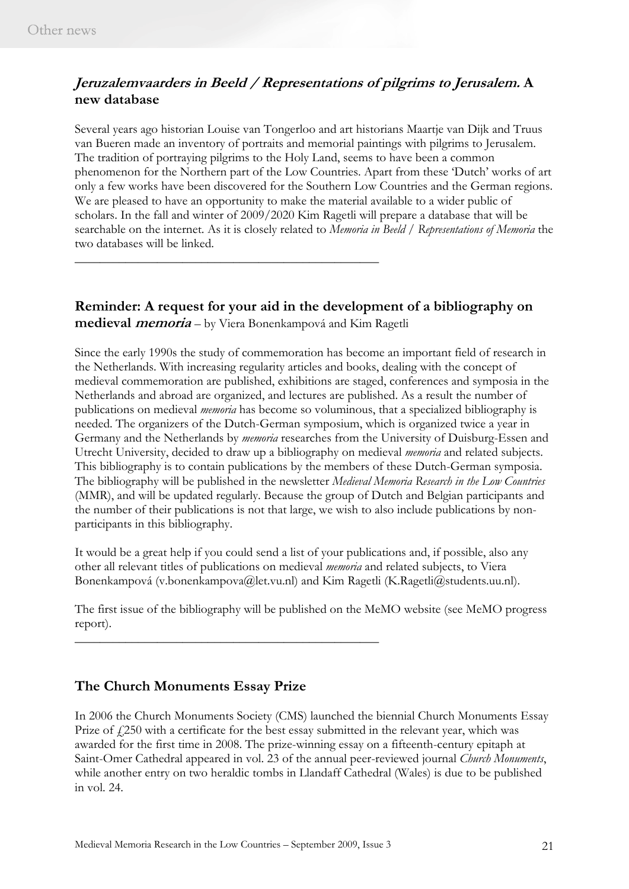# **Jeruzalemvaarders in Beeld / Representations of pilgrims to Jerusalem. A new database**

Several years ago historian Louise van Tongerloo and art historians Maartje van Dijk and Truus van Bueren made an inventory of portraits and memorial paintings with pilgrims to Jerusalem. The tradition of portraying pilgrims to the Holy Land, seems to have been a common phenomenon for the Northern part of the Low Countries. Apart from these 'Dutch' works of art only a few works have been discovered for the Southern Low Countries and the German regions. We are pleased to have an opportunity to make the material available to a wider public of scholars. In the fall and winter of 2009/2020 Kim Ragetli will prepare a database that will be searchable on the internet. As it is closely related to *Memoria in Beeld / Representations of Memoria* the two databases will be linked.

# **Reminder: A request for your aid in the development of a bibliography on medieval memoria** – by Viera Bonenkampová and Kim Ragetli

\_\_\_\_\_\_\_\_\_\_\_\_\_\_\_\_\_\_\_\_\_\_\_\_\_\_\_\_\_\_\_\_\_\_\_\_\_\_\_\_\_\_\_\_\_\_\_\_

Since the early 1990s the study of commemoration has become an important field of research in the Netherlands. With increasing regularity articles and books, dealing with the concept of medieval commemoration are published, exhibitions are staged, conferences and symposia in the Netherlands and abroad are organized, and lectures are published. As a result the number of publications on medieval *memoria* has become so voluminous, that a specialized bibliography is needed. The organizers of the Dutch-German symposium, which is organized twice a year in Germany and the Netherlands by *memoria* researches from the University of Duisburg-Essen and Utrecht University, decided to draw up a bibliography on medieval *memoria* and related subjects. This bibliography is to contain publications by the members of these Dutch-German symposia. The bibliography will be published in the newsletter *Medieval Memoria Research in the Low Countries* (MMR), and will be updated regularly. Because the group of Dutch and Belgian participants and the number of their publications is not that large, we wish to also include publications by nonparticipants in this bibliography.

It would be a great help if you could send a list of your publications and, if possible, also any other all relevant titles of publications on medieval *memoria* and related subjects, to Viera Bonenkampová (v.bonenkampova@let.vu.nl) and Kim Ragetli (K.Ragetli@students.uu.nl).

The first issue of the bibliography will be published on the MeMO website (see MeMO progress report).

# **The Church Monuments Essay Prize**

In 2006 the Church Monuments Society (CMS) launched the biennial Church Monuments Essay Prize of  $f(250)$  with a certificate for the best essay submitted in the relevant year, which was awarded for the first time in 2008. The prize-winning essay on a fifteenth-century epitaph at Saint-Omer Cathedral appeared in vol. 23 of the annual peer-reviewed journal *Church Monuments*, while another entry on two heraldic tombs in Llandaff Cathedral (Wales) is due to be published in vol. 24.

\_\_\_\_\_\_\_\_\_\_\_\_\_\_\_\_\_\_\_\_\_\_\_\_\_\_\_\_\_\_\_\_\_\_\_\_\_\_\_\_\_\_\_\_\_\_\_\_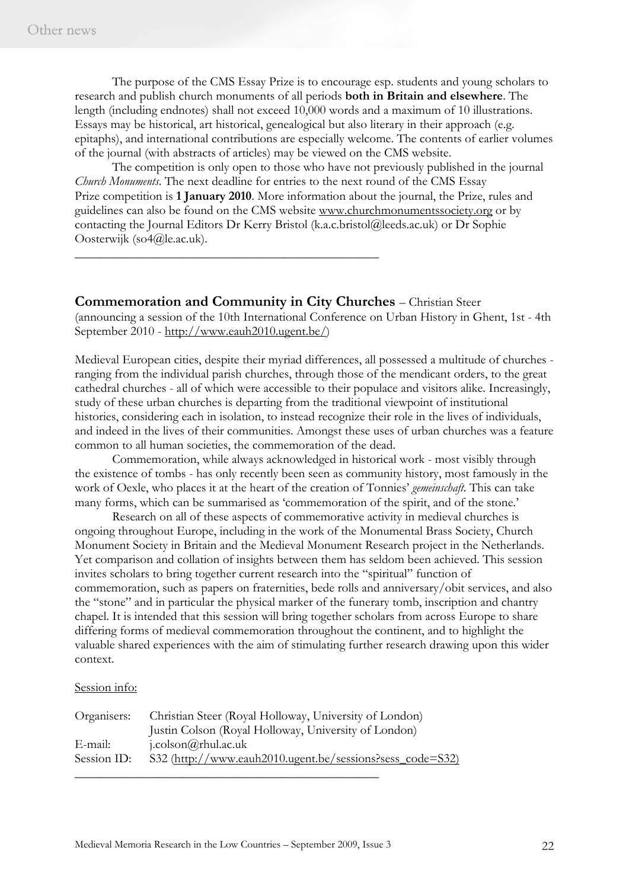The purpose of the CMS Essay Prize is to encourage esp. students and young scholars to research and publish church monuments of all periods **both in Britain and elsewhere**. The length (including endnotes) shall not exceed 10,000 words and a maximum of 10 illustrations. Essays may be historical, art historical, genealogical but also literary in their approach (e.g. epitaphs), and international contributions are especially welcome. The contents of earlier volumes of the journal (with abstracts of articles) may be viewed on the CMS website.

 The competition is only open to those who have not previously published in the journal *Church Monuments*. The next deadline for entries to the next round of the CMS Essay Prize competition is **1 January 2010**. More information about the journal, the Prize, rules and guidelines can also be found on the CMS website www.churchmonumentssociety.org or by contacting the Journal Editors Dr Kerry Bristol (k.a.c.bristol@leeds.ac.uk) or Dr Sophie Oosterwijk (so4@le.ac.uk).

\_\_\_\_\_\_\_\_\_\_\_\_\_\_\_\_\_\_\_\_\_\_\_\_\_\_\_\_\_\_\_\_\_\_\_\_\_\_\_\_\_\_\_\_\_\_\_\_

**Commemoration and Community in City Churches** – Christian Steer (announcing a session of the 10th International Conference on Urban History in Ghent, 1st - 4th September 2010 - http://www.eauh2010.ugent.be/)

Medieval European cities, despite their myriad differences, all possessed a multitude of churches ranging from the individual parish churches, through those of the mendicant orders, to the great cathedral churches - all of which were accessible to their populace and visitors alike. Increasingly, study of these urban churches is departing from the traditional viewpoint of institutional histories, considering each in isolation, to instead recognize their role in the lives of individuals, and indeed in the lives of their communities. Amongst these uses of urban churches was a feature common to all human societies, the commemoration of the dead.

Commemoration, while always acknowledged in historical work - most visibly through the existence of tombs - has only recently been seen as community history, most famously in the work of Oexle, who places it at the heart of the creation of Tonnies' *gemeinschaft*. This can take many forms, which can be summarised as 'commemoration of the spirit, and of the stone.'

Research on all of these aspects of commemorative activity in medieval churches is ongoing throughout Europe, including in the work of the Monumental Brass Society, Church Monument Society in Britain and the Medieval Monument Research project in the Netherlands. Yet comparison and collation of insights between them has seldom been achieved. This session invites scholars to bring together current research into the "spiritual" function of commemoration, such as papers on fraternities, bede rolls and anniversary/obit services, and also the "stone" and in particular the physical marker of the funerary tomb, inscription and chantry chapel. It is intended that this session will bring together scholars from across Europe to share differing forms of medieval commemoration throughout the continent, and to highlight the valuable shared experiences with the aim of stimulating further research drawing upon this wider context.

#### Session info:

| Organisers: | Christian Steer (Royal Holloway, University of London)    |
|-------------|-----------------------------------------------------------|
|             | Justin Colson (Royal Holloway, University of London)      |
| E-mail:     | $i$ .colson@rhul.ac.uk                                    |
| Session ID: | S32 (http://www.eauh2010.ugent.be/sessions?sess_code=S32) |
|             |                                                           |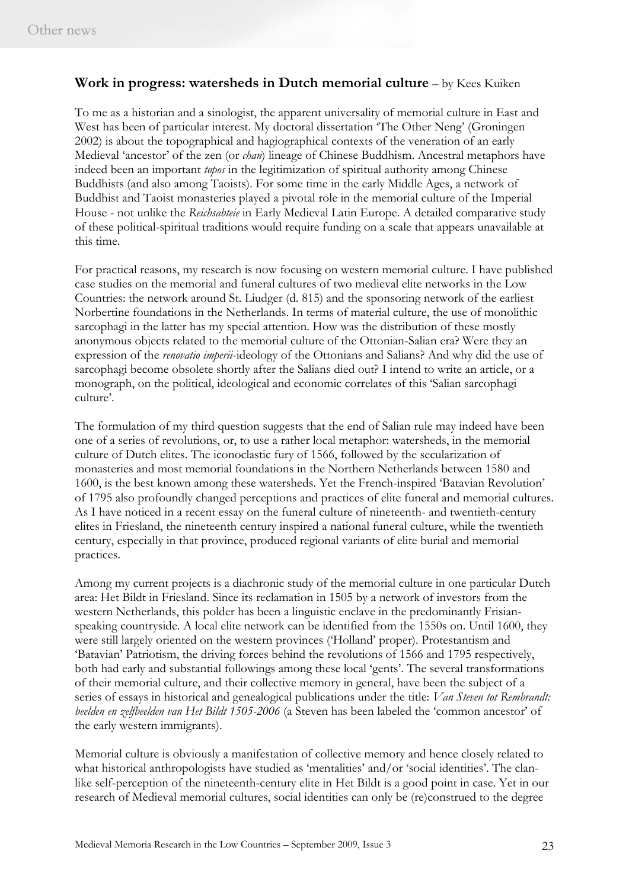## **Work in progress: watersheds in Dutch memorial culture** – by Kees Kuiken

To me as a historian and a sinologist, the apparent universality of memorial culture in East and West has been of particular interest. My doctoral dissertation 'The Other Neng' (Groningen 2002) is about the topographical and hagiographical contexts of the veneration of an early Medieval 'ancestor' of the zen (or *chan*) lineage of Chinese Buddhism. Ancestral metaphors have indeed been an important *topos* in the legitimization of spiritual authority among Chinese Buddhists (and also among Taoists). For some time in the early Middle Ages, a network of Buddhist and Taoist monasteries played a pivotal role in the memorial culture of the Imperial House - not unlike the *Reichsabteie* in Early Medieval Latin Europe. A detailed comparative study of these political-spiritual traditions would require funding on a scale that appears unavailable at this time.

For practical reasons, my research is now focusing on western memorial culture. I have published case studies on the memorial and funeral cultures of two medieval elite networks in the Low Countries: the network around St. Liudger (d. 815) and the sponsoring network of the earliest Norbertine foundations in the Netherlands. In terms of material culture, the use of monolithic sarcophagi in the latter has my special attention. How was the distribution of these mostly anonymous objects related to the memorial culture of the Ottonian-Salian era? Were they an expression of the *renovatio imperii*-ideology of the Ottonians and Salians? And why did the use of sarcophagi become obsolete shortly after the Salians died out? I intend to write an article, or a monograph, on the political, ideological and economic correlates of this 'Salian sarcophagi culture'.

The formulation of my third question suggests that the end of Salian rule may indeed have been one of a series of revolutions, or, to use a rather local metaphor: watersheds, in the memorial culture of Dutch elites. The iconoclastic fury of 1566, followed by the secularization of monasteries and most memorial foundations in the Northern Netherlands between 1580 and 1600, is the best known among these watersheds. Yet the French-inspired 'Batavian Revolution' of 1795 also profoundly changed perceptions and practices of elite funeral and memorial cultures. As I have noticed in a recent essay on the funeral culture of nineteenth- and twentieth-century elites in Friesland, the nineteenth century inspired a national funeral culture, while the twentieth century, especially in that province, produced regional variants of elite burial and memorial practices.

Among my current projects is a diachronic study of the memorial culture in one particular Dutch area: Het Bildt in Friesland. Since its reclamation in 1505 by a network of investors from the western Netherlands, this polder has been a linguistic enclave in the predominantly Frisianspeaking countryside. A local elite network can be identified from the 1550s on. Until 1600, they were still largely oriented on the western provinces ('Holland' proper). Protestantism and 'Batavian' Patriotism, the driving forces behind the revolutions of 1566 and 1795 respectively, both had early and substantial followings among these local 'gents'. The several transformations of their memorial culture, and their collective memory in general, have been the subject of a series of essays in historical and genealogical publications under the title: *Van Steven tot Rembrandt: beelden en zelfbeelden van Het Bildt 1505-2006* (a Steven has been labeled the 'common ancestor' of the early western immigrants).

Memorial culture is obviously a manifestation of collective memory and hence closely related to what historical anthropologists have studied as 'mentalities' and/or 'social identities'. The clanlike self-perception of the nineteenth-century elite in Het Bildt is a good point in case. Yet in our research of Medieval memorial cultures, social identities can only be (re)construed to the degree